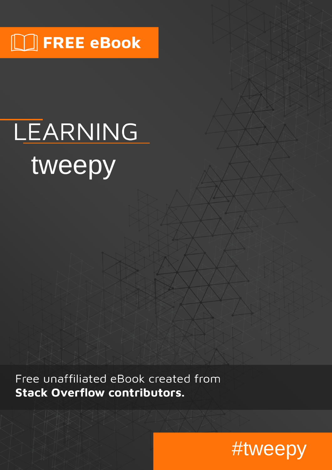## $\boxed{\phantom{1}}$  FREE eBook

# LEARNING tweepy

Free unaffiliated eBook created from **Stack Overflow contributors.** 

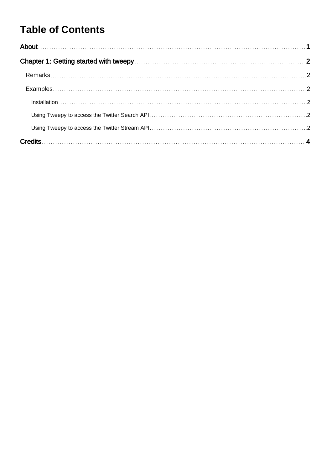### **Table of Contents**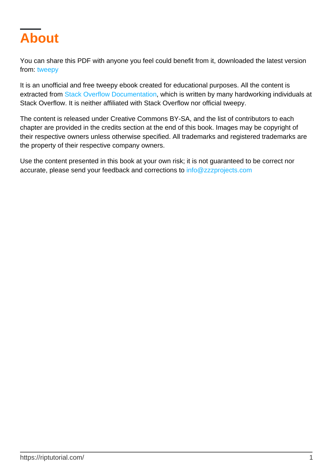<span id="page-2-0"></span>

You can share this PDF with anyone you feel could benefit from it, downloaded the latest version from: [tweepy](http://riptutorial.com/ebook/tweepy)

It is an unofficial and free tweepy ebook created for educational purposes. All the content is extracted from [Stack Overflow Documentation,](https://archive.org/details/documentation-dump.7z) which is written by many hardworking individuals at Stack Overflow. It is neither affiliated with Stack Overflow nor official tweepy.

The content is released under Creative Commons BY-SA, and the list of contributors to each chapter are provided in the credits section at the end of this book. Images may be copyright of their respective owners unless otherwise specified. All trademarks and registered trademarks are the property of their respective company owners.

Use the content presented in this book at your own risk; it is not guaranteed to be correct nor accurate, please send your feedback and corrections to [info@zzzprojects.com](mailto:info@zzzprojects.com)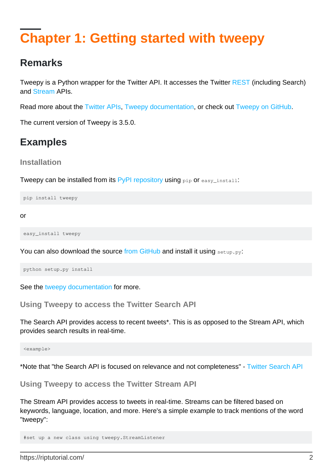## <span id="page-3-0"></span>**Chapter 1: Getting started with tweepy**

#### <span id="page-3-1"></span>**Remarks**

Tweepy is a Python wrapper for the Twitter API. It accesses the Twitter [REST](https://dev.twitter.com/rest/public) (including Search) and [Stream](https://dev.twitter.com/streaming/public) APIs.

Read more about the [Twitter APIs,](https://dev.twitter.com/basics) [Tweepy documentation](http://tweepy.readthedocs.io/en/v3.5.0/), or check out [Tweepy on GitHub](https://github.com/tweepy/tweepy).

<span id="page-3-2"></span>The current version of Tweepy is 3.5.0.

#### **Examples**

<span id="page-3-3"></span>**Installation**

Tweepy can be installed from its [PyPI repository](https://pypi.python.org/pypi/tweepy) using pip or easy\_install:

pip install tweepy

or

easy\_install tweepy

You can also download the source [from GitHub](https://github.com/tweepy/tweepy) and install it using setup.py:

python setup.py install

<span id="page-3-4"></span>See the [tweepy documentation](http://docs.tweepy.org/en/v3.5.0/index.html) for more.

**Using Tweepy to access the Twitter Search API**

The Search API provides access to recent tweets\*. This is as opposed to the Stream API, which provides search results in real-time.

<example>

<span id="page-3-5"></span>\*Note that "the Search API is focused on relevance and not completeness" - [Twitter Search API](https://dev.twitter.com/rest/public/search)

**Using Tweepy to access the Twitter Stream API**

The Stream API provides access to tweets in real-time. Streams can be filtered based on keywords, language, location, and more. Here's a simple example to track mentions of the word "tweepy":

```
#set up a new class using tweepy.StreamListener
```
https://riptutorial.com/ 2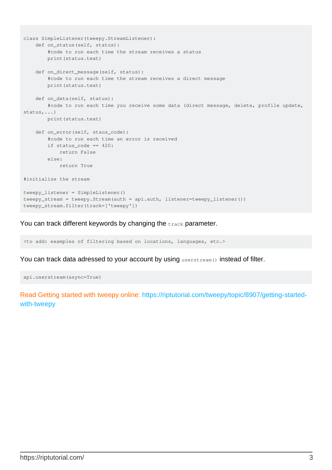```
class SimpleListener(tweepy.StreamListener):
    def on_status(self, status):
        #code to run each time the stream receives a status
        print(status.text)
    def on_direct_message(self, status):
        #code to run each time the stream receives a direct message
        print(status.text)
     def on_data(self, status):
        #code to run each time you receive some data (direct message, delete, profile update,
status,...)
        print(status.text)
     def on_error(self, staus_code):
        #code to run each time an error is received
         if status_code == 420:
            return False
         else:
            return True
#initialize the stream
tweepy_listener = SimpleListener()
tweepy_stream = tweepy.Stream(auth = api.auth, listener=tweepy_listener())
tweepy_stream.filter(track=['tweepy'])
```
You can track different keywords by changing the track parameter.

<to add: examples of filtering based on locations, languages, etc.>

You can track data adressed to your account by using userstream() instead of filter.

api.userstream(async=True)

Read Getting started with tweepy online: [https://riptutorial.com/tweepy/topic/8907/getting-started](https://riptutorial.com/tweepy/topic/8907/getting-started-with-tweepy)[with-tweepy](https://riptutorial.com/tweepy/topic/8907/getting-started-with-tweepy)